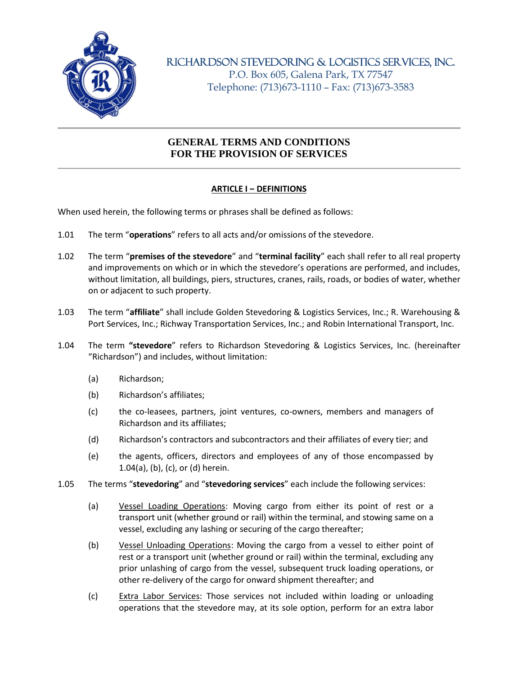

RICHARDSON STEVEDORING & LOGISTICS SERVICES, INC.

P.O. Box 605, Galena Park, TX 77547 Telephone: (713)673-1110 – Fax: (713)673-3583

# **GENERAL TERMS AND CONDITIONS FOR THE PROVISION OF SERVICES**

## **ARTICLE I ‒ DEFINITIONS**

When used herein, the following terms or phrases shall be defined as follows:

- 1.01 The term "**operations**" refers to all acts and/or omissions of the stevedore.
- 1.02 The term "**premises of the stevedore**" and "**terminal facility**" each shall refer to all real property and improvements on which or in which the stevedore's operations are performed, and includes, without limitation, all buildings, piers, structures, cranes, rails, roads, or bodies of water, whether on or adjacent to such property.
- 1.03 The term "**affiliate**" shall include Golden Stevedoring & Logistics Services, Inc.; R. Warehousing & Port Services, Inc.; Richway Transportation Services, Inc.; and Robin International Transport, Inc.
- 1.04 The term **"stevedore**" refers to Richardson Stevedoring & Logistics Services, Inc. (hereinafter "Richardson") and includes, without limitation:
	- (a) Richardson;
	- (b) Richardson's affiliates;
	- (c) the co-leasees, partners, joint ventures, co-owners, members and managers of Richardson and its affiliates;
	- (d) Richardson's contractors and subcontractors and their affiliates of every tier; and
	- (e) the agents, officers, directors and employees of any of those encompassed by 1.04(a), (b), (c), or (d) herein.
- 1.05 The terms "**stevedoring**" and "**stevedoring services**" each include the following services:
	- (a) Vessel Loading Operations: Moving cargo from either its point of rest or a transport unit (whether ground or rail) within the terminal, and stowing same on a vessel, excluding any lashing or securing of the cargo thereafter;
	- (b) Vessel Unloading Operations: Moving the cargo from a vessel to either point of rest or a transport unit (whether ground or rail) within the terminal, excluding any prior unlashing of cargo from the vessel, subsequent truck loading operations, or other re-delivery of the cargo for onward shipment thereafter; and
	- (c) Extra Labor Services: Those services not included within loading or unloading operations that the stevedore may, at its sole option, perform for an extra labor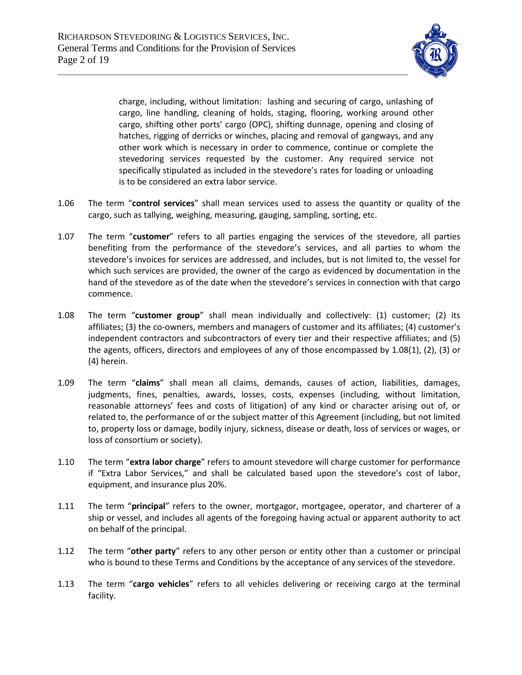

charge, including, without limitation: lashing and securing of cargo, unlashing of cargo, line handling, cleaning of holds, staging, flooring, working around other cargo, shifting other ports' cargo (OPC), shifting dunnage, opening and closing of hatches, rigging of derricks or winches, placing and removal of gangways, and any other work which is necessary in order to commence, continue or complete the stevedoring services requested by the customer. Any required service not specifically stipulated as included in the stevedore's rates for loading or unloading is to be considered an extra labor service.

- 1.06 The term "**control services**" shall mean services used to assess the quantity or quality of the cargo, such as tallying, weighing, measuring, gauging, sampling, sorting, etc.
- 1.07 The term "**customer**" refers to all parties engaging the services of the stevedore, all parties benefiting from the performance of the stevedore's services, and all parties to whom the stevedore's invoices for services are addressed, and includes, but is not limited to, the vessel for which such services are provided, the owner of the cargo as evidenced by documentation in the hand of the stevedore as of the date when the stevedore's services in connection with that cargo commence.
- 1.08 The term "**customer group**" shall mean individually and collectively: (1) customer; (2) its affiliates; (3) the co-owners, members and managers of customer and its affiliates; (4) customer's independent contractors and subcontractors of every tier and their respective affiliates; and (5) the agents, officers, directors and employees of any of those encompassed by 1.08(1), (2), (3) or (4) herein.
- 1.09 The term "**claims**" shall mean all claims, demands, causes of action, liabilities, damages, judgments, fines, penalties, awards, losses, costs, expenses (including, without limitation, reasonable attorneys' fees and costs of litigation) of any kind or character arising out of, or related to, the performance of or the subject matter of this Agreement (including, but not limited to, property loss or damage, bodily injury, sickness, disease or death, loss of services or wages, or loss of consortium or society).
- 1.10 The term "**extra labor charge**" refers to amount stevedore will charge customer for performance if "Extra Labor Services," and shall be calculated based upon the stevedore's cost of labor, equipment, and insurance plus 20%.
- 1.11 The term "**principal**" refers to the owner, mortgagor, mortgagee, operator, and charterer of a ship or vessel, and includes all agents of the foregoing having actual or apparent authority to act on behalf of the principal.
- 1.12 The term "**other party**" refers to any other person or entity other than a customer or principal who is bound to these Terms and Conditions by the acceptance of any services of the stevedore.
- 1.13 The term "**cargo vehicles**" refers to all vehicles delivering or receiving cargo at the terminal facility.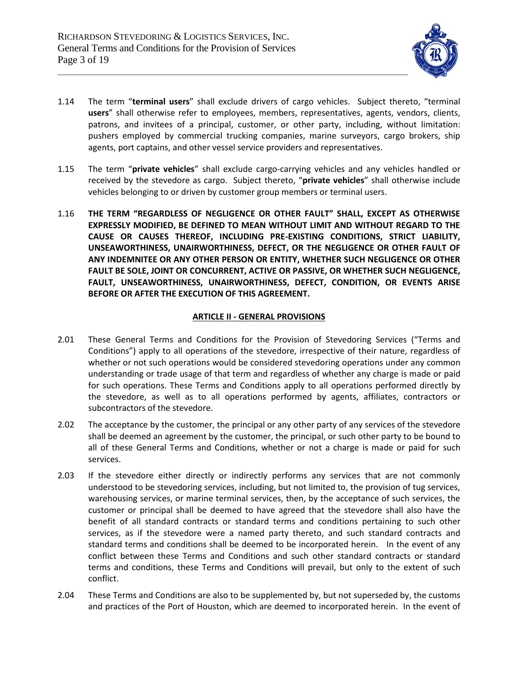

- 1.14 The term "**terminal users**" shall exclude drivers of cargo vehicles. Subject thereto, "terminal **users**" shall otherwise refer to employees, members, representatives, agents, vendors, clients, patrons, and invitees of a principal, customer, or other party, including, without limitation: pushers employed by commercial trucking companies, marine surveyors, cargo brokers, ship agents, port captains, and other vessel service providers and representatives.
- 1.15 The term "**private vehicles**" shall exclude cargo-carrying vehicles and any vehicles handled or received by the stevedore as cargo. Subject thereto, "**private vehicles**" shall otherwise include vehicles belonging to or driven by customer group members or terminal users.
- 1.16 **THE TERM "REGARDLESS OF NEGLIGENCE OR OTHER FAULT" SHALL, EXCEPT AS OTHERWISE EXPRESSLY MODIFIED, BE DEFINED TO MEAN WITHOUT LIMIT AND WITHOUT REGARD TO THE CAUSE OR CAUSES THEREOF, INCLUDING PRE-EXISTING CONDITIONS, STRICT LIABILITY, UNSEAWORTHINESS, UNAIRWORTHINESS, DEFECT, OR THE NEGLIGENCE OR OTHER FAULT OF ANY INDEMNITEE OR ANY OTHER PERSON OR ENTITY, WHETHER SUCH NEGLIGENCE OR OTHER FAULT BE SOLE, JOINT OR CONCURRENT, ACTIVE OR PASSIVE, OR WHETHER SUCH NEGLIGENCE, FAULT, UNSEAWORTHINESS, UNAIRWORTHINESS, DEFECT, CONDITION, OR EVENTS ARISE BEFORE OR AFTER THE EXECUTION OF THIS AGREEMENT.**

## **ARTICLE II - GENERAL PROVISIONS**

- 2.01 These General Terms and Conditions for the Provision of Stevedoring Services ("Terms and Conditions") apply to all operations of the stevedore, irrespective of their nature, regardless of whether or not such operations would be considered stevedoring operations under any common understanding or trade usage of that term and regardless of whether any charge is made or paid for such operations. These Terms and Conditions apply to all operations performed directly by the stevedore, as well as to all operations performed by agents, affiliates, contractors or subcontractors of the stevedore.
- 2.02 The acceptance by the customer, the principal or any other party of any services of the stevedore shall be deemed an agreement by the customer, the principal, or such other party to be bound to all of these General Terms and Conditions, whether or not a charge is made or paid for such services.
- 2.03 If the stevedore either directly or indirectly performs any services that are not commonly understood to be stevedoring services, including, but not limited to, the provision of tug services, warehousing services, or marine terminal services, then, by the acceptance of such services, the customer or principal shall be deemed to have agreed that the stevedore shall also have the benefit of all standard contracts or standard terms and conditions pertaining to such other services, as if the stevedore were a named party thereto, and such standard contracts and standard terms and conditions shall be deemed to be incorporated herein. In the event of any conflict between these Terms and Conditions and such other standard contracts or standard terms and conditions, these Terms and Conditions will prevail, but only to the extent of such conflict.
- 2.04 These Terms and Conditions are also to be supplemented by, but not superseded by, the customs and practices of the Port of Houston, which are deemed to incorporated herein. In the event of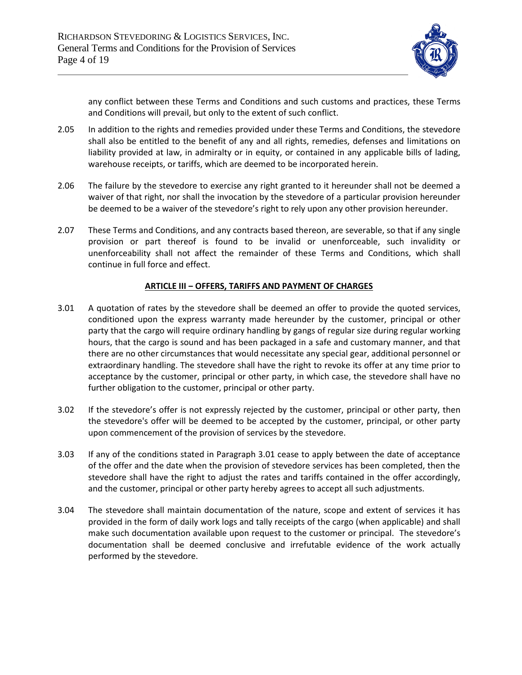

any conflict between these Terms and Conditions and such customs and practices, these Terms and Conditions will prevail, but only to the extent of such conflict.

- 2.05 In addition to the rights and remedies provided under these Terms and Conditions, the stevedore shall also be entitled to the benefit of any and all rights, remedies, defenses and limitations on liability provided at law, in admiralty or in equity, or contained in any applicable bills of lading, warehouse receipts, or tariffs, which are deemed to be incorporated herein.
- 2.06 The failure by the stevedore to exercise any right granted to it hereunder shall not be deemed a waiver of that right, nor shall the invocation by the stevedore of a particular provision hereunder be deemed to be a waiver of the stevedore's right to rely upon any other provision hereunder.
- 2.07 These Terms and Conditions, and any contracts based thereon, are severable, so that if any single provision or part thereof is found to be invalid or unenforceable, such invalidity or unenforceability shall not affect the remainder of these Terms and Conditions, which shall continue in full force and effect.

### **ARTICLE III ‒ OFFERS, TARIFFS AND PAYMENT OF CHARGES**

- 3.01 A quotation of rates by the stevedore shall be deemed an offer to provide the quoted services, conditioned upon the express warranty made hereunder by the customer, principal or other party that the cargo will require ordinary handling by gangs of regular size during regular working hours, that the cargo is sound and has been packaged in a safe and customary manner, and that there are no other circumstances that would necessitate any special gear, additional personnel or extraordinary handling. The stevedore shall have the right to revoke its offer at any time prior to acceptance by the customer, principal or other party, in which case, the stevedore shall have no further obligation to the customer, principal or other party.
- 3.02 If the stevedore's offer is not expressly rejected by the customer, principal or other party, then the stevedore's offer will be deemed to be accepted by the customer, principal, or other party upon commencement of the provision of services by the stevedore.
- 3.03 If any of the conditions stated in Paragraph 3.01 cease to apply between the date of acceptance of the offer and the date when the provision of stevedore services has been completed, then the stevedore shall have the right to adjust the rates and tariffs contained in the offer accordingly, and the customer, principal or other party hereby agrees to accept all such adjustments.
- 3.04 The stevedore shall maintain documentation of the nature, scope and extent of services it has provided in the form of daily work logs and tally receipts of the cargo (when applicable) and shall make such documentation available upon request to the customer or principal. The stevedore's documentation shall be deemed conclusive and irrefutable evidence of the work actually performed by the stevedore.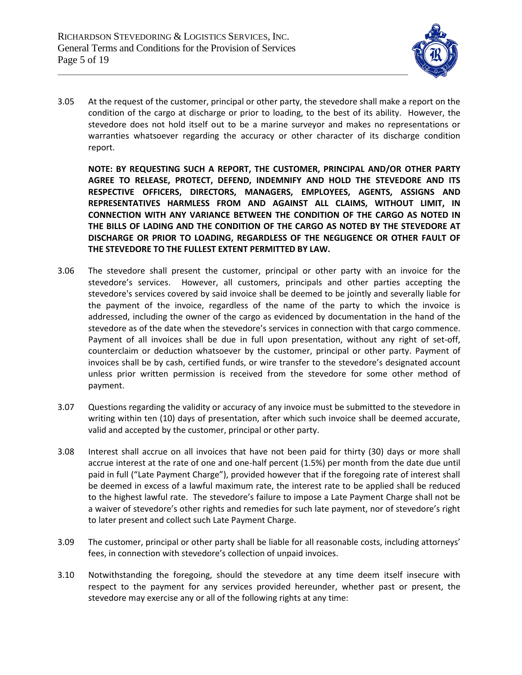

3.05 At the request of the customer, principal or other party, the stevedore shall make a report on the condition of the cargo at discharge or prior to loading, to the best of its ability. However, the stevedore does not hold itself out to be a marine surveyor and makes no representations or warranties whatsoever regarding the accuracy or other character of its discharge condition report.

**NOTE: BY REQUESTING SUCH A REPORT, THE CUSTOMER, PRINCIPAL AND/OR OTHER PARTY AGREE TO RELEASE, PROTECT, DEFEND, INDEMNIFY AND HOLD THE STEVEDORE AND ITS RESPECTIVE OFFICERS, DIRECTORS, MANAGERS, EMPLOYEES, AGENTS, ASSIGNS AND REPRESENTATIVES HARMLESS FROM AND AGAINST ALL CLAIMS, WITHOUT LIMIT, IN CONNECTION WITH ANY VARIANCE BETWEEN THE CONDITION OF THE CARGO AS NOTED IN THE BILLS OF LADING AND THE CONDITION OF THE CARGO AS NOTED BY THE STEVEDORE AT DISCHARGE OR PRIOR TO LOADING, REGARDLESS OF THE NEGLIGENCE OR OTHER FAULT OF THE STEVEDORE TO THE FULLEST EXTENT PERMITTED BY LAW.**

- 3.06 The stevedore shall present the customer, principal or other party with an invoice for the stevedore's services. However, all customers, principals and other parties accepting the stevedore's services covered by said invoice shall be deemed to be jointly and severally liable for the payment of the invoice, regardless of the name of the party to which the invoice is addressed, including the owner of the cargo as evidenced by documentation in the hand of the stevedore as of the date when the stevedore's services in connection with that cargo commence. Payment of all invoices shall be due in full upon presentation, without any right of set-off, counterclaim or deduction whatsoever by the customer, principal or other party. Payment of invoices shall be by cash, certified funds, or wire transfer to the stevedore's designated account unless prior written permission is received from the stevedore for some other method of payment.
- 3.07 Questions regarding the validity or accuracy of any invoice must be submitted to the stevedore in writing within ten (10) days of presentation, after which such invoice shall be deemed accurate, valid and accepted by the customer, principal or other party.
- 3.08 Interest shall accrue on all invoices that have not been paid for thirty (30) days or more shall accrue interest at the rate of one and one-half percent (1.5%) per month from the date due until paid in full ("Late Payment Charge"), provided however that if the foregoing rate of interest shall be deemed in excess of a lawful maximum rate, the interest rate to be applied shall be reduced to the highest lawful rate. The stevedore's failure to impose a Late Payment Charge shall not be a waiver of stevedore's other rights and remedies for such late payment, nor of stevedore's right to later present and collect such Late Payment Charge.
- 3.09 The customer, principal or other party shall be liable for all reasonable costs, including attorneys' fees, in connection with stevedore's collection of unpaid invoices.
- 3.10 Notwithstanding the foregoing, should the stevedore at any time deem itself insecure with respect to the payment for any services provided hereunder, whether past or present, the stevedore may exercise any or all of the following rights at any time: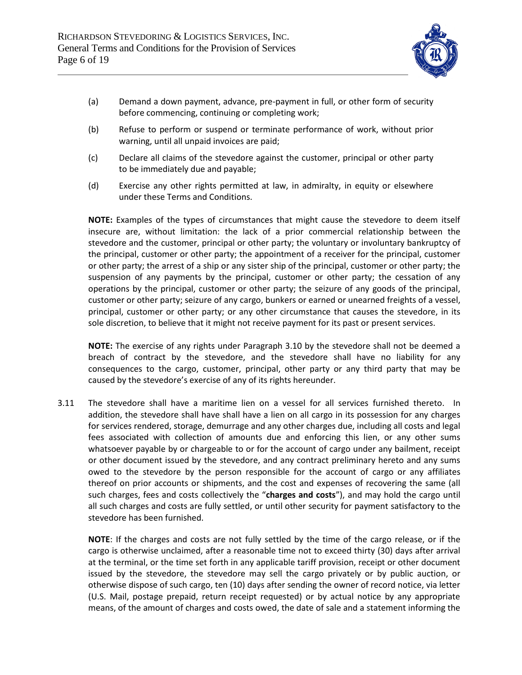

- (a) Demand a down payment, advance, pre-payment in full, or other form of security before commencing, continuing or completing work;
- (b) Refuse to perform or suspend or terminate performance of work, without prior warning, until all unpaid invoices are paid;
- (c) Declare all claims of the stevedore against the customer, principal or other party to be immediately due and payable;
- (d) Exercise any other rights permitted at law, in admiralty, in equity or elsewhere under these Terms and Conditions.

**NOTE:** Examples of the types of circumstances that might cause the stevedore to deem itself insecure are, without limitation: the lack of a prior commercial relationship between the stevedore and the customer, principal or other party; the voluntary or involuntary bankruptcy of the principal, customer or other party; the appointment of a receiver for the principal, customer or other party; the arrest of a ship or any sister ship of the principal, customer or other party; the suspension of any payments by the principal, customer or other party; the cessation of any operations by the principal, customer or other party; the seizure of any goods of the principal, customer or other party; seizure of any cargo, bunkers or earned or unearned freights of a vessel, principal, customer or other party; or any other circumstance that causes the stevedore, in its sole discretion, to believe that it might not receive payment for its past or present services.

**NOTE:** The exercise of any rights under Paragraph 3.10 by the stevedore shall not be deemed a breach of contract by the stevedore, and the stevedore shall have no liability for any consequences to the cargo, customer, principal, other party or any third party that may be caused by the stevedore's exercise of any of its rights hereunder.

3.11 The stevedore shall have a maritime lien on a vessel for all services furnished thereto. In addition, the stevedore shall have shall have a lien on all cargo in its possession for any charges for services rendered, storage, demurrage and any other charges due, including all costs and legal fees associated with collection of amounts due and enforcing this lien, or any other sums whatsoever payable by or chargeable to or for the account of cargo under any bailment, receipt or other document issued by the stevedore, and any contract preliminary hereto and any sums owed to the stevedore by the person responsible for the account of cargo or any affiliates thereof on prior accounts or shipments, and the cost and expenses of recovering the same (all such charges, fees and costs collectively the "**charges and costs**"), and may hold the cargo until all such charges and costs are fully settled, or until other security for payment satisfactory to the stevedore has been furnished.

**NOTE**: If the charges and costs are not fully settled by the time of the cargo release, or if the cargo is otherwise unclaimed, after a reasonable time not to exceed thirty (30) days after arrival at the terminal, or the time set forth in any applicable tariff provision, receipt or other document issued by the stevedore, the stevedore may sell the cargo privately or by public auction, or otherwise dispose of such cargo, ten (10) days after sending the owner of record notice, via letter (U.S. Mail, postage prepaid, return receipt requested) or by actual notice by any appropriate means, of the amount of charges and costs owed, the date of sale and a statement informing the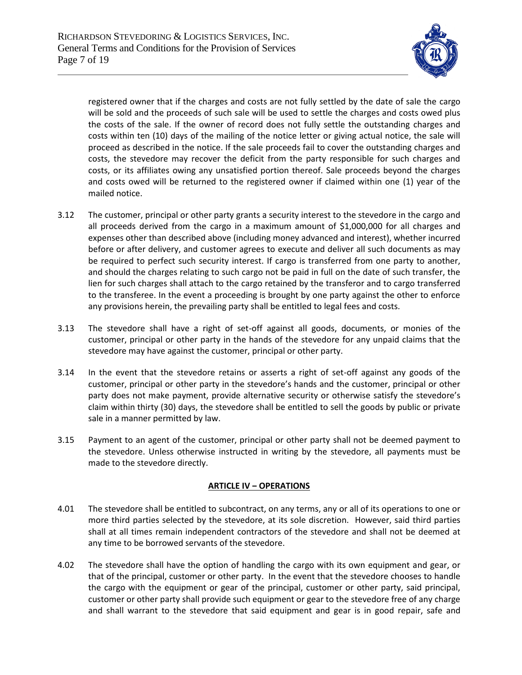

registered owner that if the charges and costs are not fully settled by the date of sale the cargo will be sold and the proceeds of such sale will be used to settle the charges and costs owed plus the costs of the sale. If the owner of record does not fully settle the outstanding charges and costs within ten (10) days of the mailing of the notice letter or giving actual notice, the sale will proceed as described in the notice. If the sale proceeds fail to cover the outstanding charges and costs, the stevedore may recover the deficit from the party responsible for such charges and costs, or its affiliates owing any unsatisfied portion thereof. Sale proceeds beyond the charges and costs owed will be returned to the registered owner if claimed within one (1) year of the mailed notice.

- 3.12 The customer, principal or other party grants a security interest to the stevedore in the cargo and all proceeds derived from the cargo in a maximum amount of \$1,000,000 for all charges and expenses other than described above (including money advanced and interest), whether incurred before or after delivery, and customer agrees to execute and deliver all such documents as may be required to perfect such security interest. If cargo is transferred from one party to another, and should the charges relating to such cargo not be paid in full on the date of such transfer, the lien for such charges shall attach to the cargo retained by the transferor and to cargo transferred to the transferee. In the event a proceeding is brought by one party against the other to enforce any provisions herein, the prevailing party shall be entitled to legal fees and costs.
- 3.13 The stevedore shall have a right of set-off against all goods, documents, or monies of the customer, principal or other party in the hands of the stevedore for any unpaid claims that the stevedore may have against the customer, principal or other party.
- 3.14 In the event that the stevedore retains or asserts a right of set-off against any goods of the customer, principal or other party in the stevedore's hands and the customer, principal or other party does not make payment, provide alternative security or otherwise satisfy the stevedore's claim within thirty (30) days, the stevedore shall be entitled to sell the goods by public or private sale in a manner permitted by law.
- 3.15 Payment to an agent of the customer, principal or other party shall not be deemed payment to the stevedore. Unless otherwise instructed in writing by the stevedore, all payments must be made to the stevedore directly.

### **ARTICLE IV – OPERATIONS**

- 4.01 The stevedore shall be entitled to subcontract, on any terms, any or all of its operations to one or more third parties selected by the stevedore, at its sole discretion. However, said third parties shall at all times remain independent contractors of the stevedore and shall not be deemed at any time to be borrowed servants of the stevedore.
- 4.02 The stevedore shall have the option of handling the cargo with its own equipment and gear, or that of the principal, customer or other party. In the event that the stevedore chooses to handle the cargo with the equipment or gear of the principal, customer or other party, said principal, customer or other party shall provide such equipment or gear to the stevedore free of any charge and shall warrant to the stevedore that said equipment and gear is in good repair, safe and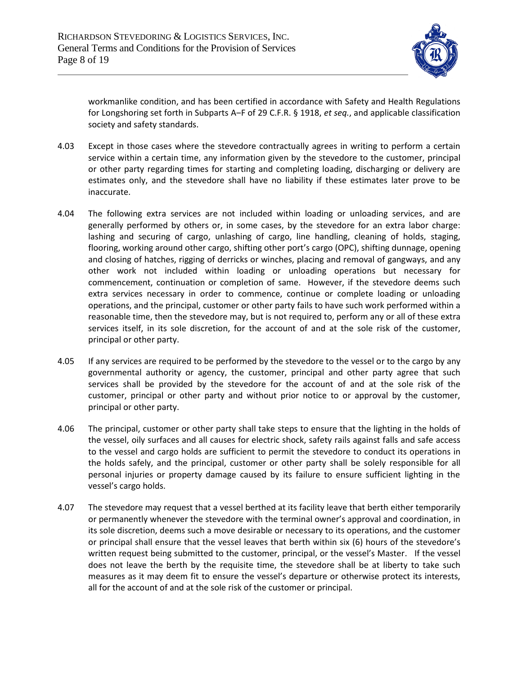

workmanlike condition, and has been certified in accordance with Safety and Health Regulations for Longshoring set forth in Subparts A‒F of 29 C.F.R. § 1918, *et seq.*, and applicable classification society and safety standards.

- 4.03 Except in those cases where the stevedore contractually agrees in writing to perform a certain service within a certain time, any information given by the stevedore to the customer, principal or other party regarding times for starting and completing loading, discharging or delivery are estimates only, and the stevedore shall have no liability if these estimates later prove to be inaccurate.
- 4.04 The following extra services are not included within loading or unloading services, and are generally performed by others or, in some cases, by the stevedore for an extra labor charge: lashing and securing of cargo, unlashing of cargo, line handling, cleaning of holds, staging, flooring, working around other cargo, shifting other port's cargo (OPC), shifting dunnage, opening and closing of hatches, rigging of derricks or winches, placing and removal of gangways, and any other work not included within loading or unloading operations but necessary for commencement, continuation or completion of same. However, if the stevedore deems such extra services necessary in order to commence, continue or complete loading or unloading operations, and the principal, customer or other party fails to have such work performed within a reasonable time, then the stevedore may, but is not required to, perform any or all of these extra services itself, in its sole discretion, for the account of and at the sole risk of the customer, principal or other party.
- 4.05 If any services are required to be performed by the stevedore to the vessel or to the cargo by any governmental authority or agency, the customer, principal and other party agree that such services shall be provided by the stevedore for the account of and at the sole risk of the customer, principal or other party and without prior notice to or approval by the customer, principal or other party.
- 4.06 The principal, customer or other party shall take steps to ensure that the lighting in the holds of the vessel, oily surfaces and all causes for electric shock, safety rails against falls and safe access to the vessel and cargo holds are sufficient to permit the stevedore to conduct its operations in the holds safely, and the principal, customer or other party shall be solely responsible for all personal injuries or property damage caused by its failure to ensure sufficient lighting in the vessel's cargo holds.
- 4.07 The stevedore may request that a vessel berthed at its facility leave that berth either temporarily or permanently whenever the stevedore with the terminal owner's approval and coordination, in its sole discretion, deems such a move desirable or necessary to its operations, and the customer or principal shall ensure that the vessel leaves that berth within six (6) hours of the stevedore's written request being submitted to the customer, principal, or the vessel's Master. If the vessel does not leave the berth by the requisite time, the stevedore shall be at liberty to take such measures as it may deem fit to ensure the vessel's departure or otherwise protect its interests, all for the account of and at the sole risk of the customer or principal.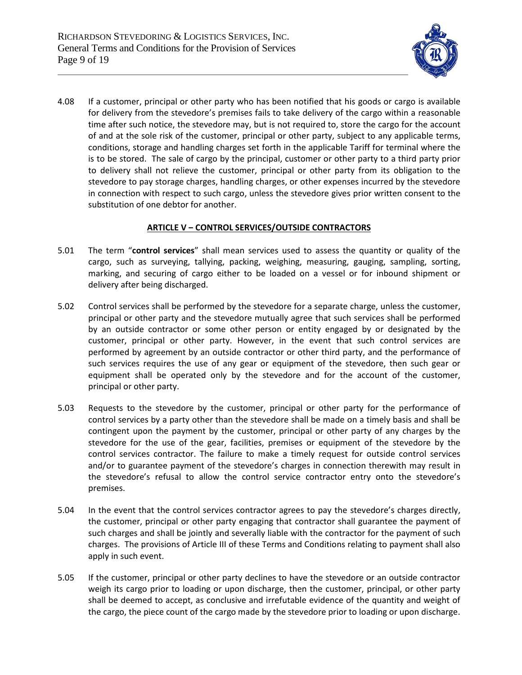

4.08 If a customer, principal or other party who has been notified that his goods or cargo is available for delivery from the stevedore's premises fails to take delivery of the cargo within a reasonable time after such notice, the stevedore may, but is not required to, store the cargo for the account of and at the sole risk of the customer, principal or other party, subject to any applicable terms, conditions, storage and handling charges set forth in the applicable Tariff for terminal where the is to be stored. The sale of cargo by the principal, customer or other party to a third party prior to delivery shall not relieve the customer, principal or other party from its obligation to the stevedore to pay storage charges, handling charges, or other expenses incurred by the stevedore in connection with respect to such cargo, unless the stevedore gives prior written consent to the substitution of one debtor for another.

### **ARTICLE V ‒ CONTROL SERVICES/OUTSIDE CONTRACTORS**

- 5.01 The term "**control services**" shall mean services used to assess the quantity or quality of the cargo, such as surveying, tallying, packing, weighing, measuring, gauging, sampling, sorting, marking, and securing of cargo either to be loaded on a vessel or for inbound shipment or delivery after being discharged.
- 5.02 Control services shall be performed by the stevedore for a separate charge, unless the customer, principal or other party and the stevedore mutually agree that such services shall be performed by an outside contractor or some other person or entity engaged by or designated by the customer, principal or other party. However, in the event that such control services are performed by agreement by an outside contractor or other third party, and the performance of such services requires the use of any gear or equipment of the stevedore, then such gear or equipment shall be operated only by the stevedore and for the account of the customer, principal or other party.
- 5.03 Requests to the stevedore by the customer, principal or other party for the performance of control services by a party other than the stevedore shall be made on a timely basis and shall be contingent upon the payment by the customer, principal or other party of any charges by the stevedore for the use of the gear, facilities, premises or equipment of the stevedore by the control services contractor. The failure to make a timely request for outside control services and/or to guarantee payment of the stevedore's charges in connection therewith may result in the stevedore's refusal to allow the control service contractor entry onto the stevedore's premises.
- 5.04 In the event that the control services contractor agrees to pay the stevedore's charges directly, the customer, principal or other party engaging that contractor shall guarantee the payment of such charges and shall be jointly and severally liable with the contractor for the payment of such charges. The provisions of Article III of these Terms and Conditions relating to payment shall also apply in such event.
- 5.05 If the customer, principal or other party declines to have the stevedore or an outside contractor weigh its cargo prior to loading or upon discharge, then the customer, principal, or other party shall be deemed to accept, as conclusive and irrefutable evidence of the quantity and weight of the cargo, the piece count of the cargo made by the stevedore prior to loading or upon discharge.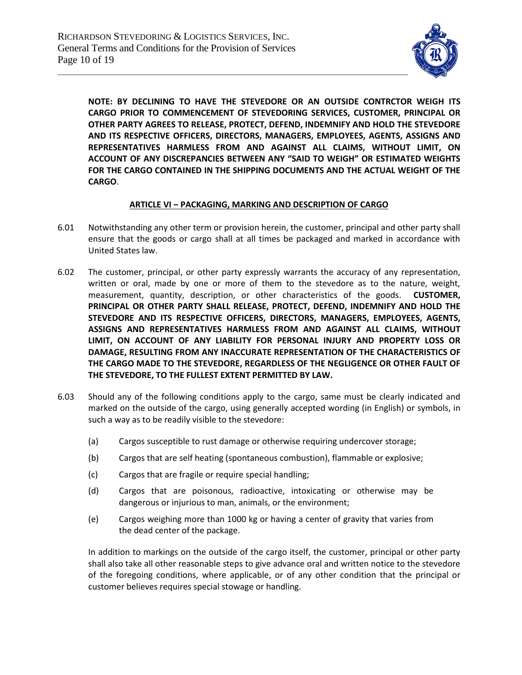

**NOTE: BY DECLINING TO HAVE THE STEVEDORE OR AN OUTSIDE CONTRCTOR WEIGH ITS CARGO PRIOR TO COMMENCEMENT OF STEVEDORING SERVICES, CUSTOMER, PRINCIPAL OR OTHER PARTY AGREES TO RELEASE, PROTECT, DEFEND, INDEMNIFY AND HOLD THE STEVEDORE AND ITS RESPECTIVE OFFICERS, DIRECTORS, MANAGERS, EMPLOYEES, AGENTS, ASSIGNS AND REPRESENTATIVES HARMLESS FROM AND AGAINST ALL CLAIMS, WITHOUT LIMIT, ON ACCOUNT OF ANY DISCREPANCIES BETWEEN ANY "SAID TO WEIGH" OR ESTIMATED WEIGHTS FOR THE CARGO CONTAINED IN THE SHIPPING DOCUMENTS AND THE ACTUAL WEIGHT OF THE CARGO**.

### **ARTICLE VI ‒ PACKAGING, MARKING AND DESCRIPTION OF CARGO**

- 6.01 Notwithstanding any other term or provision herein, the customer, principal and other party shall ensure that the goods or cargo shall at all times be packaged and marked in accordance with United States law.
- 6.02 The customer, principal, or other party expressly warrants the accuracy of any representation, written or oral, made by one or more of them to the stevedore as to the nature, weight, measurement, quantity, description, or other characteristics of the goods. **CUSTOMER, PRINCIPAL OR OTHER PARTY SHALL RELEASE, PROTECT, DEFEND, INDEMNIFY AND HOLD THE STEVEDORE AND ITS RESPECTIVE OFFICERS, DIRECTORS, MANAGERS, EMPLOYEES, AGENTS, ASSIGNS AND REPRESENTATIVES HARMLESS FROM AND AGAINST ALL CLAIMS, WITHOUT LIMIT, ON ACCOUNT OF ANY LIABILITY FOR PERSONAL INJURY AND PROPERTY LOSS OR DAMAGE, RESULTING FROM ANY INACCURATE REPRESENTATION OF THE CHARACTERISTICS OF THE CARGO MADE TO THE STEVEDORE, REGARDLESS OF THE NEGLIGENCE OR OTHER FAULT OF THE STEVEDORE, TO THE FULLEST EXTENT PERMITTED BY LAW.**
- 6.03 Should any of the following conditions apply to the cargo, same must be clearly indicated and marked on the outside of the cargo, using generally accepted wording (in English) or symbols, in such a way as to be readily visible to the stevedore:
	- (a) Cargos susceptible to rust damage or otherwise requiring undercover storage;
	- (b) Cargos that are self heating (spontaneous combustion), flammable or explosive;
	- (c) Cargos that are fragile or require special handling;
	- (d) Cargos that are poisonous, radioactive, intoxicating or otherwise may be dangerous or injurious to man, animals, or the environment;
	- (e) Cargos weighing more than 1000 kg or having a center of gravity that varies from the dead center of the package.

In addition to markings on the outside of the cargo itself, the customer, principal or other party shall also take all other reasonable steps to give advance oral and written notice to the stevedore of the foregoing conditions, where applicable, or of any other condition that the principal or customer believes requires special stowage or handling.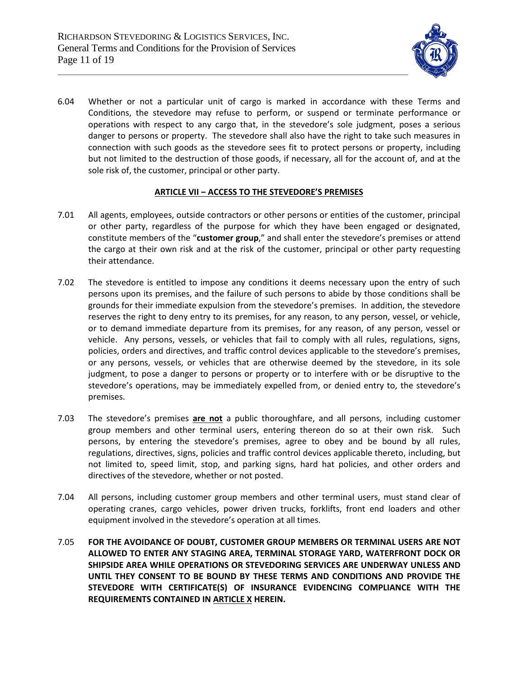

6.04 Whether or not a particular unit of cargo is marked in accordance with these Terms and Conditions, the stevedore may refuse to perform, or suspend or terminate performance or operations with respect to any cargo that, in the stevedore's sole judgment, poses a serious danger to persons or property. The stevedore shall also have the right to take such measures in connection with such goods as the stevedore sees fit to protect persons or property, including but not limited to the destruction of those goods, if necessary, all for the account of, and at the sole risk of, the customer, principal or other party.

## **ARTICLE VII ‒ ACCESS TO THE STEVEDORE'S PREMISES**

- 7.01 All agents, employees, outside contractors or other persons or entities of the customer, principal or other party, regardless of the purpose for which they have been engaged or designated, constitute members of the "**customer group**," and shall enter the stevedore's premises or attend the cargo at their own risk and at the risk of the customer, principal or other party requesting their attendance.
- 7.02 The stevedore is entitled to impose any conditions it deems necessary upon the entry of such persons upon its premises, and the failure of such persons to abide by those conditions shall be grounds for their immediate expulsion from the stevedore's premises. In addition, the stevedore reserves the right to deny entry to its premises, for any reason, to any person, vessel, or vehicle, or to demand immediate departure from its premises, for any reason, of any person, vessel or vehicle. Any persons, vessels, or vehicles that fail to comply with all rules, regulations, signs, policies, orders and directives, and traffic control devices applicable to the stevedore's premises, or any persons, vessels, or vehicles that are otherwise deemed by the stevedore, in its sole judgment, to pose a danger to persons or property or to interfere with or be disruptive to the stevedore's operations, may be immediately expelled from, or denied entry to, the stevedore's premises.
- 7.03 The stevedore's premises **are not** a public thoroughfare, and all persons, including customer group members and other terminal users, entering thereon do so at their own risk. Such persons, by entering the stevedore's premises, agree to obey and be bound by all rules, regulations, directives, signs, policies and traffic control devices applicable thereto, including, but not limited to, speed limit, stop, and parking signs, hard hat policies, and other orders and directives of the stevedore, whether or not posted.
- 7.04 All persons, including customer group members and other terminal users, must stand clear of operating cranes, cargo vehicles, power driven trucks, forklifts, front end loaders and other equipment involved in the stevedore's operation at all times.
- 7.05 **FOR THE AVOIDANCE OF DOUBT, CUSTOMER GROUP MEMBERS OR TERMINAL USERS ARE NOT ALLOWED TO ENTER ANY STAGING AREA, TERMINAL STORAGE YARD, WATERFRONT DOCK OR SHIPSIDE AREA WHILE OPERATIONS OR STEVEDORING SERVICES ARE UNDERWAY UNLESS AND UNTIL THEY CONSENT TO BE BOUND BY THESE TERMS AND CONDITIONS AND PROVIDE THE STEVEDORE WITH CERTIFICATE(S) OF INSURANCE EVIDENCING COMPLIANCE WITH THE REQUIREMENTS CONTAINED IN ARTICLE X HEREIN.**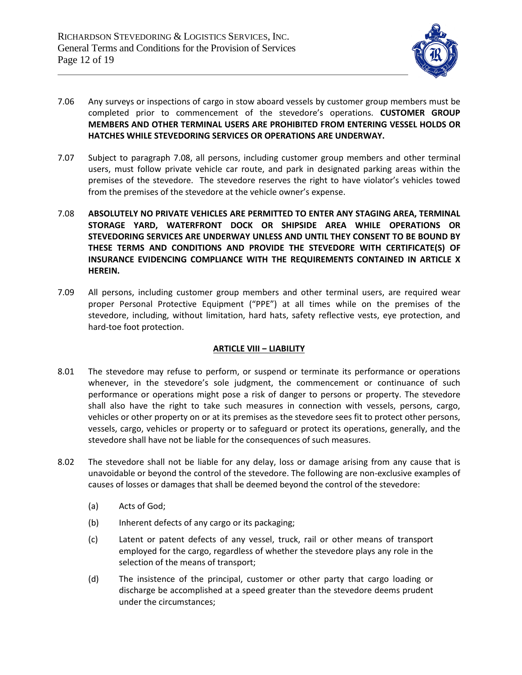

- 7.06 Any surveys or inspections of cargo in stow aboard vessels by customer group members must be completed prior to commencement of the stevedore's operations. **CUSTOMER GROUP MEMBERS AND OTHER TERMINAL USERS ARE PROHIBITED FROM ENTERING VESSEL HOLDS OR HATCHES WHILE STEVEDORING SERVICES OR OPERATIONS ARE UNDERWAY.**
- 7.07 Subject to paragraph 7.08, all persons, including customer group members and other terminal users, must follow private vehicle car route, and park in designated parking areas within the premises of the stevedore. The stevedore reserves the right to have violator's vehicles towed from the premises of the stevedore at the vehicle owner's expense.
- 7.08 **ABSOLUTELY NO PRIVATE VEHICLES ARE PERMITTED TO ENTER ANY STAGING AREA, TERMINAL STORAGE YARD, WATERFRONT DOCK OR SHIPSIDE AREA WHILE OPERATIONS OR STEVEDORING SERVICES ARE UNDERWAY UNLESS AND UNTIL THEY CONSENT TO BE BOUND BY THESE TERMS AND CONDITIONS AND PROVIDE THE STEVEDORE WITH CERTIFICATE(S) OF INSURANCE EVIDENCING COMPLIANCE WITH THE REQUIREMENTS CONTAINED IN ARTICLE X HEREIN.**
- 7.09 All persons, including customer group members and other terminal users, are required wear proper Personal Protective Equipment ("PPE") at all times while on the premises of the stevedore, including, without limitation, hard hats, safety reflective vests, eye protection, and hard-toe foot protection.

## **ARTICLE VIII ‒ LIABILITY**

- 8.01 The stevedore may refuse to perform, or suspend or terminate its performance or operations whenever, in the stevedore's sole judgment, the commencement or continuance of such performance or operations might pose a risk of danger to persons or property. The stevedore shall also have the right to take such measures in connection with vessels, persons, cargo, vehicles or other property on or at its premises as the stevedore sees fit to protect other persons, vessels, cargo, vehicles or property or to safeguard or protect its operations, generally, and the stevedore shall have not be liable for the consequences of such measures.
- 8.02 The stevedore shall not be liable for any delay, loss or damage arising from any cause that is unavoidable or beyond the control of the stevedore. The following are non-exclusive examples of causes of losses or damages that shall be deemed beyond the control of the stevedore:
	- (a) Acts of God;
	- (b) Inherent defects of any cargo or its packaging;
	- (c) Latent or patent defects of any vessel, truck, rail or other means of transport employed for the cargo, regardless of whether the stevedore plays any role in the selection of the means of transport;
	- (d) The insistence of the principal, customer or other party that cargo loading or discharge be accomplished at a speed greater than the stevedore deems prudent under the circumstances;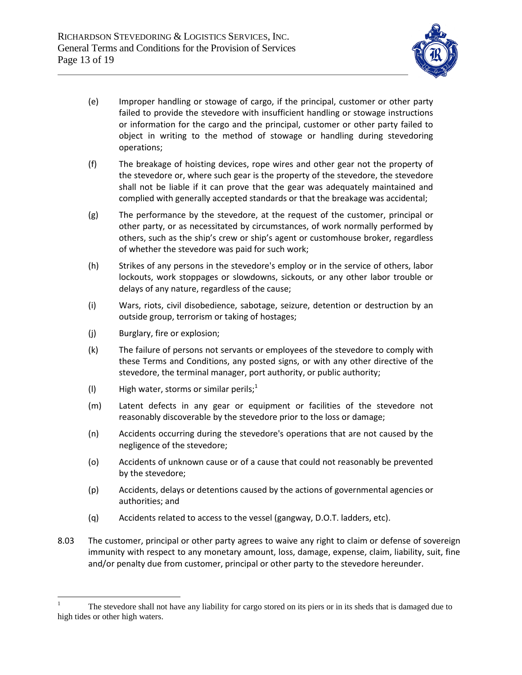

- (e) Improper handling or stowage of cargo, if the principal, customer or other party failed to provide the stevedore with insufficient handling or stowage instructions or information for the cargo and the principal, customer or other party failed to object in writing to the method of stowage or handling during stevedoring operations;
- (f) The breakage of hoisting devices, rope wires and other gear not the property of the stevedore or, where such gear is the property of the stevedore, the stevedore shall not be liable if it can prove that the gear was adequately maintained and complied with generally accepted standards or that the breakage was accidental;
- (g) The performance by the stevedore, at the request of the customer, principal or other party, or as necessitated by circumstances, of work normally performed by others, such as the ship's crew or ship's agent or customhouse broker, regardless of whether the stevedore was paid for such work;
- (h) Strikes of any persons in the stevedore's employ or in the service of others, labor lockouts, work stoppages or slowdowns, sickouts, or any other labor trouble or delays of any nature, regardless of the cause;
- (i) Wars, riots, civil disobedience, sabotage, seizure, detention or destruction by an outside group, terrorism or taking of hostages;
- (j) Burglary, fire or explosion;
- (k) The failure of persons not servants or employees of the stevedore to comply with these Terms and Conditions, any posted signs, or with any other directive of the stevedore, the terminal manager, port authority, or public authority;
- (I) High water, storms or similar perils;<sup>1</sup>
- (m) Latent defects in any gear or equipment or facilities of the stevedore not reasonably discoverable by the stevedore prior to the loss or damage;
- (n) Accidents occurring during the stevedore's operations that are not caused by the negligence of the stevedore;
- (o) Accidents of unknown cause or of a cause that could not reasonably be prevented by the stevedore;
- (p) Accidents, delays or detentions caused by the actions of governmental agencies or authorities; and
- (q) Accidents related to access to the vessel (gangway, D.O.T. ladders, etc).
- 8.03 The customer, principal or other party agrees to waive any right to claim or defense of sovereign immunity with respect to any monetary amount, loss, damage, expense, claim, liability, suit, fine and/or penalty due from customer, principal or other party to the stevedore hereunder.

 $\mathbf{1}$ <sup>1</sup> The stevedore shall not have any liability for cargo stored on its piers or in its sheds that is damaged due to high tides or other high waters.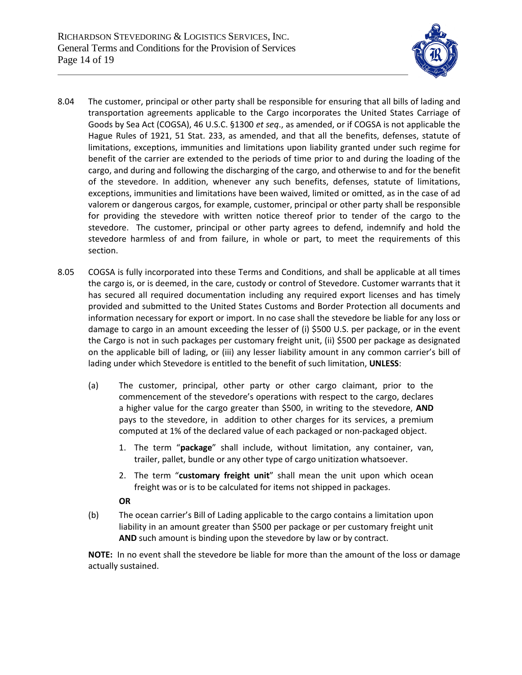

- 8.04 The customer, principal or other party shall be responsible for ensuring that all bills of lading and transportation agreements applicable to the Cargo incorporates the United States Carriage of Goods by Sea Act (COGSA), 46 U.S.C. §1300 *et seq*., as amended, or if COGSA is not applicable the Hague Rules of 1921, 51 Stat. 233, as amended, and that all the benefits, defenses, statute of limitations, exceptions, immunities and limitations upon liability granted under such regime for benefit of the carrier are extended to the periods of time prior to and during the loading of the cargo, and during and following the discharging of the cargo, and otherwise to and for the benefit of the stevedore. In addition, whenever any such benefits, defenses, statute of limitations, exceptions, immunities and limitations have been waived, limited or omitted, as in the case of ad valorem or dangerous cargos, for example, customer, principal or other party shall be responsible for providing the stevedore with written notice thereof prior to tender of the cargo to the stevedore. The customer, principal or other party agrees to defend, indemnify and hold the stevedore harmless of and from failure, in whole or part, to meet the requirements of this section.
- 8.05 COGSA is fully incorporated into these Terms and Conditions, and shall be applicable at all times the cargo is, or is deemed, in the care, custody or control of Stevedore. Customer warrants that it has secured all required documentation including any required export licenses and has timely provided and submitted to the United States Customs and Border Protection all documents and information necessary for export or import. In no case shall the stevedore be liable for any loss or damage to cargo in an amount exceeding the lesser of (i) \$500 U.S. per package, or in the event the Cargo is not in such packages per customary freight unit, (ii) \$500 per package as designated on the applicable bill of lading, or (iii) any lesser liability amount in any common carrier's bill of lading under which Stevedore is entitled to the benefit of such limitation, **UNLESS**:
	- (a) The customer, principal, other party or other cargo claimant, prior to the commencement of the stevedore's operations with respect to the cargo, declares a higher value for the cargo greater than \$500, in writing to the stevedore, **AND** pays to the stevedore, in addition to other charges for its services, a premium computed at 1% of the declared value of each packaged or non-packaged object.
		- 1. The term "**package**" shall include, without limitation, any container, van, trailer, pallet, bundle or any other type of cargo unitization whatsoever.
		- 2. The term "**customary freight unit**" shall mean the unit upon which ocean freight was or is to be calculated for items not shipped in packages.

## **OR**

(b) The ocean carrier's Bill of Lading applicable to the cargo contains a limitation upon liability in an amount greater than \$500 per package or per customary freight unit **AND** such amount is binding upon the stevedore by law or by contract.

**NOTE:** In no event shall the stevedore be liable for more than the amount of the loss or damage actually sustained.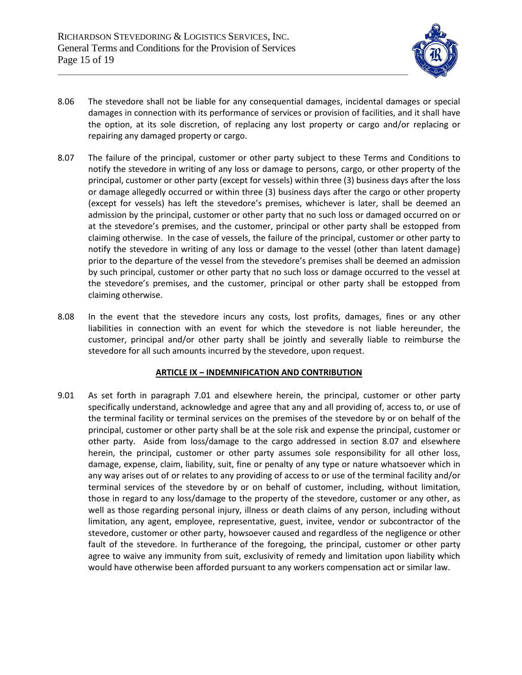

- 8.06 The stevedore shall not be liable for any consequential damages, incidental damages or special damages in connection with its performance of services or provision of facilities, and it shall have the option, at its sole discretion, of replacing any lost property or cargo and/or replacing or repairing any damaged property or cargo.
- 8.07 The failure of the principal, customer or other party subject to these Terms and Conditions to notify the stevedore in writing of any loss or damage to persons, cargo, or other property of the principal, customer or other party (except for vessels) within three (3) business days after the loss or damage allegedly occurred or within three (3) business days after the cargo or other property (except for vessels) has left the stevedore's premises, whichever is later, shall be deemed an admission by the principal, customer or other party that no such loss or damaged occurred on or at the stevedore's premises, and the customer, principal or other party shall be estopped from claiming otherwise. In the case of vessels, the failure of the principal, customer or other party to notify the stevedore in writing of any loss or damage to the vessel (other than latent damage) prior to the departure of the vessel from the stevedore's premises shall be deemed an admission by such principal, customer or other party that no such loss or damage occurred to the vessel at the stevedore's premises, and the customer, principal or other party shall be estopped from claiming otherwise.
- 8.08 In the event that the stevedore incurs any costs, lost profits, damages, fines or any other liabilities in connection with an event for which the stevedore is not liable hereunder, the customer, principal and/or other party shall be jointly and severally liable to reimburse the stevedore for all such amounts incurred by the stevedore, upon request.

### **ARTICLE IX ‒ INDEMNIFICATION AND CONTRIBUTION**

9.01 As set forth in paragraph 7.01 and elsewhere herein, the principal, customer or other party specifically understand, acknowledge and agree that any and all providing of, access to, or use of the terminal facility or terminal services on the premises of the stevedore by or on behalf of the principal, customer or other party shall be at the sole risk and expense the principal, customer or other party. Aside from loss/damage to the cargo addressed in section 8.07 and elsewhere herein, the principal, customer or other party assumes sole responsibility for all other loss, damage, expense, claim, liability, suit, fine or penalty of any type or nature whatsoever which in any way arises out of or relates to any providing of access to or use of the terminal facility and/or terminal services of the stevedore by or on behalf of customer, including, without limitation, those in regard to any loss/damage to the property of the stevedore, customer or any other, as well as those regarding personal injury, illness or death claims of any person, including without limitation, any agent, employee, representative, guest, invitee, vendor or subcontractor of the stevedore, customer or other party, howsoever caused and regardless of the negligence or other fault of the stevedore. In furtherance of the foregoing, the principal, customer or other party agree to waive any immunity from suit, exclusivity of remedy and limitation upon liability which would have otherwise been afforded pursuant to any workers compensation act or similar law.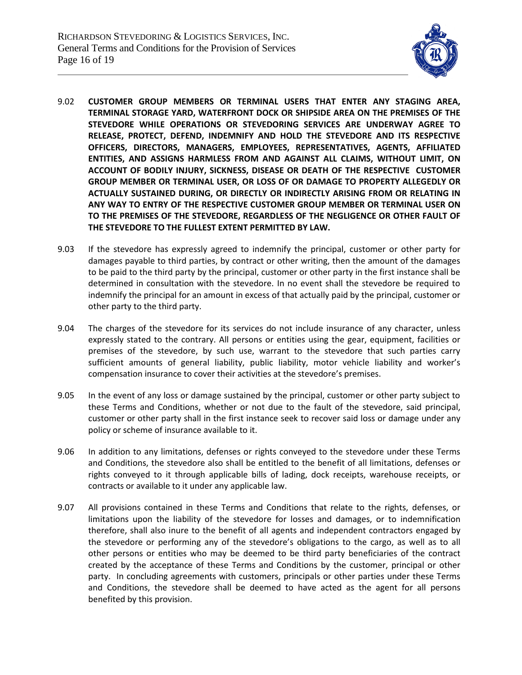

- 9.02 **CUSTOMER GROUP MEMBERS OR TERMINAL USERS THAT ENTER ANY STAGING AREA, TERMINAL STORAGE YARD, WATERFRONT DOCK OR SHIPSIDE AREA ON THE PREMISES OF THE STEVEDORE WHILE OPERATIONS OR STEVEDORING SERVICES ARE UNDERWAY AGREE TO RELEASE, PROTECT, DEFEND, INDEMNIFY AND HOLD THE STEVEDORE AND ITS RESPECTIVE OFFICERS, DIRECTORS, MANAGERS, EMPLOYEES, REPRESENTATIVES, AGENTS, AFFILIATED ENTITIES, AND ASSIGNS HARMLESS FROM AND AGAINST ALL CLAIMS, WITHOUT LIMIT, ON ACCOUNT OF BODILY INJURY, SICKNESS, DISEASE OR DEATH OF THE RESPECTIVE CUSTOMER GROUP MEMBER OR TERMINAL USER, OR LOSS OF OR DAMAGE TO PROPERTY ALLEGEDLY OR ACTUALLY SUSTAINED DURING, OR DIRECTLY OR INDIRECTLY ARISING FROM OR RELATING IN ANY WAY TO ENTRY OF THE RESPECTIVE CUSTOMER GROUP MEMBER OR TERMINAL USER ON TO THE PREMISES OF THE STEVEDORE, REGARDLESS OF THE NEGLIGENCE OR OTHER FAULT OF THE STEVEDORE TO THE FULLEST EXTENT PERMITTED BY LAW.**
- 9.03 If the stevedore has expressly agreed to indemnify the principal, customer or other party for damages payable to third parties, by contract or other writing, then the amount of the damages to be paid to the third party by the principal, customer or other party in the first instance shall be determined in consultation with the stevedore. In no event shall the stevedore be required to indemnify the principal for an amount in excess of that actually paid by the principal, customer or other party to the third party.
- 9.04 The charges of the stevedore for its services do not include insurance of any character, unless expressly stated to the contrary. All persons or entities using the gear, equipment, facilities or premises of the stevedore, by such use, warrant to the stevedore that such parties carry sufficient amounts of general liability, public liability, motor vehicle liability and worker's compensation insurance to cover their activities at the stevedore's premises.
- 9.05 In the event of any loss or damage sustained by the principal, customer or other party subject to these Terms and Conditions, whether or not due to the fault of the stevedore, said principal, customer or other party shall in the first instance seek to recover said loss or damage under any policy or scheme of insurance available to it.
- 9.06 In addition to any limitations, defenses or rights conveyed to the stevedore under these Terms and Conditions, the stevedore also shall be entitled to the benefit of all limitations, defenses or rights conveyed to it through applicable bills of lading, dock receipts, warehouse receipts, or contracts or available to it under any applicable law.
- 9.07 All provisions contained in these Terms and Conditions that relate to the rights, defenses, or limitations upon the liability of the stevedore for losses and damages, or to indemnification therefore, shall also inure to the benefit of all agents and independent contractors engaged by the stevedore or performing any of the stevedore's obligations to the cargo, as well as to all other persons or entities who may be deemed to be third party beneficiaries of the contract created by the acceptance of these Terms and Conditions by the customer, principal or other party. In concluding agreements with customers, principals or other parties under these Terms and Conditions, the stevedore shall be deemed to have acted as the agent for all persons benefited by this provision.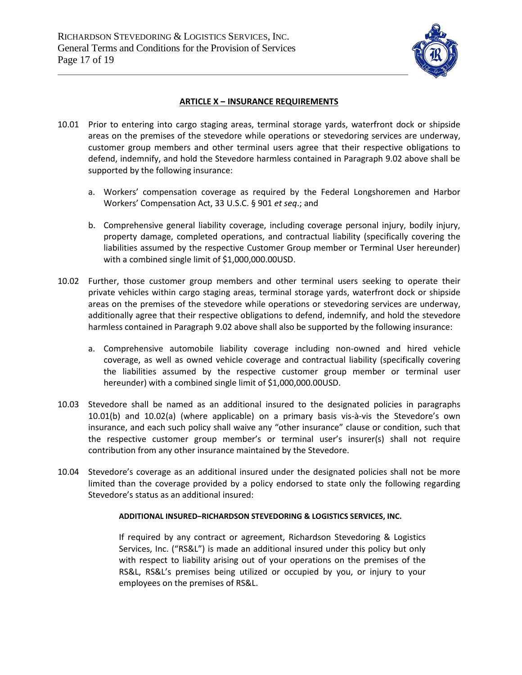

### **ARTICLE X ‒ INSURANCE REQUIREMENTS**

- 10.01 Prior to entering into cargo staging areas, terminal storage yards, waterfront dock or shipside areas on the premises of the stevedore while operations or stevedoring services are underway, customer group members and other terminal users agree that their respective obligations to defend, indemnify, and hold the Stevedore harmless contained in Paragraph 9.02 above shall be supported by the following insurance:
	- a. Workers' compensation coverage as required by the Federal Longshoremen and Harbor Workers' Compensation Act, 33 U.S.C. § 901 *et seq*.; and
	- b. Comprehensive general liability coverage, including coverage personal injury, bodily injury, property damage, completed operations, and contractual liability (specifically covering the liabilities assumed by the respective Customer Group member or Terminal User hereunder) with a combined single limit of \$1,000,000.00USD.
- 10.02 Further, those customer group members and other terminal users seeking to operate their private vehicles within cargo staging areas, terminal storage yards, waterfront dock or shipside areas on the premises of the stevedore while operations or stevedoring services are underway, additionally agree that their respective obligations to defend, indemnify, and hold the stevedore harmless contained in Paragraph 9.02 above shall also be supported by the following insurance:
	- a. Comprehensive automobile liability coverage including non-owned and hired vehicle coverage, as well as owned vehicle coverage and contractual liability (specifically covering the liabilities assumed by the respective customer group member or terminal user hereunder) with a combined single limit of \$1,000,000.00USD.
- 10.03 Stevedore shall be named as an additional insured to the designated policies in paragraphs 10.01(b) and 10.02(a) (where applicable) on a primary basis vis-à-vis the Stevedore's own insurance, and each such policy shall waive any "other insurance" clause or condition, such that the respective customer group member's or terminal user's insurer(s) shall not require contribution from any other insurance maintained by the Stevedore.
- 10.04 Stevedore's coverage as an additional insured under the designated policies shall not be more limited than the coverage provided by a policy endorsed to state only the following regarding Stevedore's status as an additional insured:

### **ADDITIONAL INSURED‒RICHARDSON STEVEDORING & LOGISTICS SERVICES, INC.**

If required by any contract or agreement, Richardson Stevedoring & Logistics Services, Inc. ("RS&L") is made an additional insured under this policy but only with respect to liability arising out of your operations on the premises of the RS&L, RS&L's premises being utilized or occupied by you, or injury to your employees on the premises of RS&L.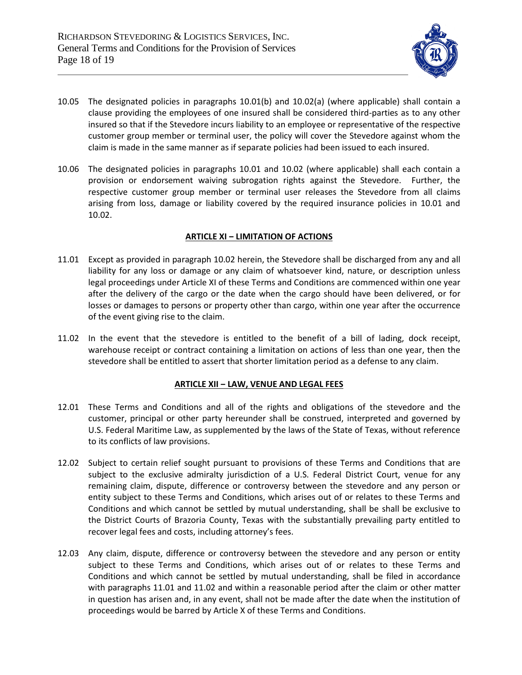

- 10.05 The designated policies in paragraphs 10.01(b) and 10.02(a) (where applicable) shall contain a clause providing the employees of one insured shall be considered third-parties as to any other insured so that if the Stevedore incurs liability to an employee or representative of the respective customer group member or terminal user, the policy will cover the Stevedore against whom the claim is made in the same manner as if separate policies had been issued to each insured.
- 10.06 The designated policies in paragraphs 10.01 and 10.02 (where applicable) shall each contain a provision or endorsement waiving subrogation rights against the Stevedore. Further, the respective customer group member or terminal user releases the Stevedore from all claims arising from loss, damage or liability covered by the required insurance policies in 10.01 and 10.02.

### **ARTICLE XI ‒ LIMITATION OF ACTIONS**

- 11.01 Except as provided in paragraph 10.02 herein, the Stevedore shall be discharged from any and all liability for any loss or damage or any claim of whatsoever kind, nature, or description unless legal proceedings under Article XI of these Terms and Conditions are commenced within one year after the delivery of the cargo or the date when the cargo should have been delivered, or for losses or damages to persons or property other than cargo, within one year after the occurrence of the event giving rise to the claim.
- 11.02 In the event that the stevedore is entitled to the benefit of a bill of lading, dock receipt, warehouse receipt or contract containing a limitation on actions of less than one year, then the stevedore shall be entitled to assert that shorter limitation period as a defense to any claim.

### **ARTICLE XII ‒ LAW, VENUE AND LEGAL FEES**

- 12.01 These Terms and Conditions and all of the rights and obligations of the stevedore and the customer, principal or other party hereunder shall be construed, interpreted and governed by U.S. Federal Maritime Law, as supplemented by the laws of the State of Texas, without reference to its conflicts of law provisions.
- 12.02 Subject to certain relief sought pursuant to provisions of these Terms and Conditions that are subject to the exclusive admiralty jurisdiction of a U.S. Federal District Court, venue for any remaining claim, dispute, difference or controversy between the stevedore and any person or entity subject to these Terms and Conditions, which arises out of or relates to these Terms and Conditions and which cannot be settled by mutual understanding, shall be shall be exclusive to the District Courts of Brazoria County, Texas with the substantially prevailing party entitled to recover legal fees and costs, including attorney's fees.
- 12.03 Any claim, dispute, difference or controversy between the stevedore and any person or entity subject to these Terms and Conditions, which arises out of or relates to these Terms and Conditions and which cannot be settled by mutual understanding, shall be filed in accordance with paragraphs 11.01 and 11.02 and within a reasonable period after the claim or other matter in question has arisen and, in any event, shall not be made after the date when the institution of proceedings would be barred by Article X of these Terms and Conditions.